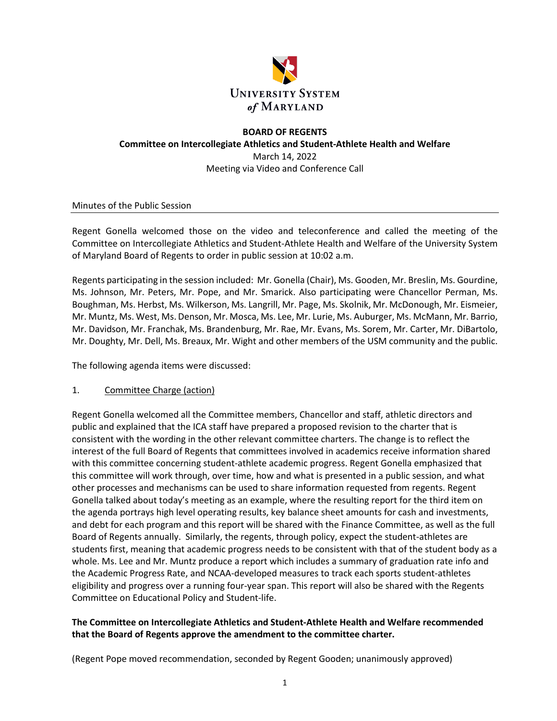

# **BOARD OF REGENTS Committee on Intercollegiate Athletics and Student-Athlete Health and Welfare** March 14, 2022 Meeting via Video and Conference Call

Minutes of the Public Session

Regent Gonella welcomed those on the video and teleconference and called the meeting of the Committee on Intercollegiate Athletics and Student-Athlete Health and Welfare of the University System of Maryland Board of Regents to order in public session at 10:02 a.m.

Regents participating in the session included: Mr. Gonella (Chair), Ms. Gooden, Mr. Breslin, Ms. Gourdine, Ms. Johnson, Mr. Peters, Mr. Pope, and Mr. Smarick. Also participating were Chancellor Perman, Ms. Boughman, Ms. Herbst, Ms. Wilkerson, Ms. Langrill, Mr. Page, Ms. Skolnik, Mr. McDonough, Mr. Eismeier, Mr. Muntz, Ms. West, Ms. Denson, Mr. Mosca, Ms. Lee, Mr. Lurie, Ms. Auburger, Ms. McMann, Mr. Barrio, Mr. Davidson, Mr. Franchak, Ms. Brandenburg, Mr. Rae, Mr. Evans, Ms. Sorem, Mr. Carter, Mr. DiBartolo, Mr. Doughty, Mr. Dell, Ms. Breaux, Mr. Wight and other members of the USM community and the public.

The following agenda items were discussed:

## 1. Committee Charge (action)

Regent Gonella welcomed all the Committee members, Chancellor and staff, athletic directors and public and explained that the ICA staff have prepared a proposed revision to the charter that is consistent with the wording in the other relevant committee charters. The change is to reflect the interest of the full Board of Regents that committees involved in academics receive information shared with this committee concerning student-athlete academic progress. Regent Gonella emphasized that this committee will work through, over time, how and what is presented in a public session, and what other processes and mechanisms can be used to share information requested from regents. Regent Gonella talked about today's meeting as an example, where the resulting report for the third item on the agenda portrays high level operating results, key balance sheet amounts for cash and investments, and debt for each program and this report will be shared with the Finance Committee, as well as the full Board of Regents annually. Similarly, the regents, through policy, expect the student-athletes are students first, meaning that academic progress needs to be consistent with that of the student body as a whole. Ms. Lee and Mr. Muntz produce a report which includes a summary of graduation rate info and the Academic Progress Rate, and NCAA-developed measures to track each sports student-athletes eligibility and progress over a running four-year span. This report will also be shared with the Regents Committee on Educational Policy and Student-life.

## **The Committee on Intercollegiate Athletics and Student-Athlete Health and Welfare recommended that the Board of Regents approve the amendment to the committee charter.**

(Regent Pope moved recommendation, seconded by Regent Gooden; unanimously approved)